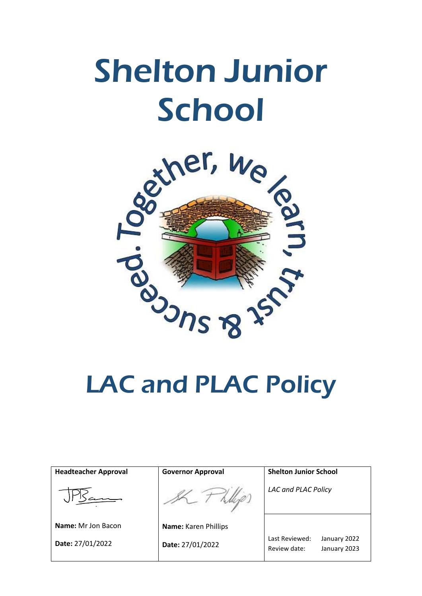# Shelton Junior School



# LAC and PLAC Policy

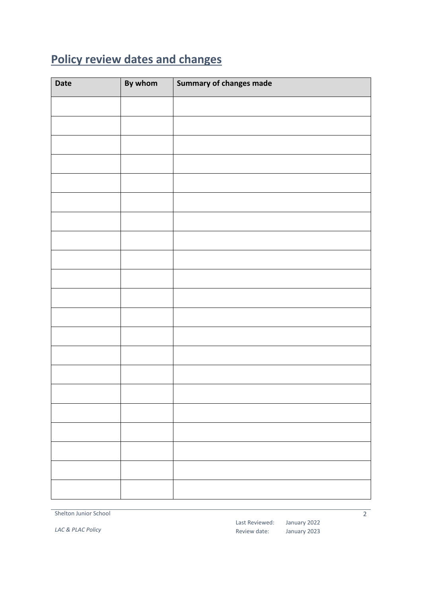## <span id="page-1-0"></span>**Policy review dates and changes**

| <b>Date</b> | By whom | Summary of changes made |
|-------------|---------|-------------------------|
|             |         |                         |
|             |         |                         |
|             |         |                         |
|             |         |                         |
|             |         |                         |
|             |         |                         |
|             |         |                         |
|             |         |                         |
|             |         |                         |
|             |         |                         |
|             |         |                         |
|             |         |                         |
|             |         |                         |
|             |         |                         |
|             |         |                         |
|             |         |                         |
|             |         |                         |
|             |         |                         |
|             |         |                         |
|             |         |                         |
|             |         |                         |

Shelton Junior School

*LAC & PLAC Policy*

Last Reviewed: January 2022 Review date:

January 2023

 $\overline{2}$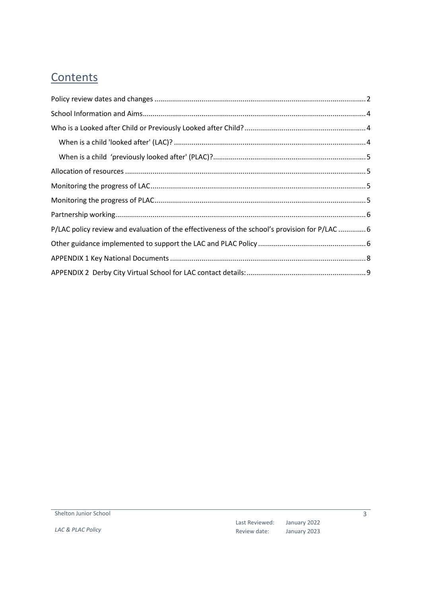#### **Contents**

| P/LAC policy review and evaluation of the effectiveness of the school's provision for P/LAC  6 |  |  |  |  |
|------------------------------------------------------------------------------------------------|--|--|--|--|
|                                                                                                |  |  |  |  |
|                                                                                                |  |  |  |  |
|                                                                                                |  |  |  |  |

*LAC & PLAC Policy*

January 2022 January 2023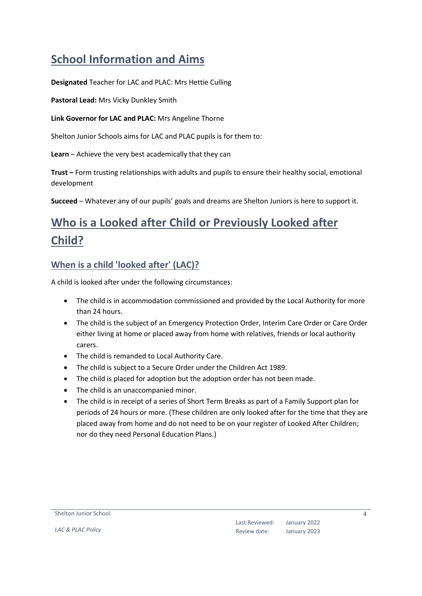#### <span id="page-3-0"></span>**School Information and Aims**

**Designated** Teacher for LAC and PLAC: Mrs Hettie Culling

**Pastoral Lead:** Mrs Vicky Dunkley Smith

**Link Governor for LAC and PLAC:** Mrs Angeline Thorne

Shelton Junior Schools aims for LAC and PLAC pupils is for them to:

**Learn** – Achieve the very best academically that they can

**Trust –** Form trusting relationships with adults and pupils to ensure their healthy social, emotional development

**Succeed** – Whatever any of our pupils' goals and dreams are Shelton Juniors is here to support it.

## <span id="page-3-1"></span>**Who is a Looked after Child or Previously Looked after Child?**

#### <span id="page-3-2"></span>**When is a child 'looked after' (LAC)?**

A child is looked after under the following circumstances:

- The child is in accommodation commissioned and provided by the Local Authority for more than 24 hours.
- The child is the subject of an Emergency Protection Order, Interim Care Order or Care Order either living at home or placed away from home with relatives, friends or local authority carers.
- The child is remanded to Local Authority Care.
- The child is subject to a Secure Order under the Children Act 1989.
- The child is placed for adoption but the adoption order has not been made.
- The child is an unaccompanied minor.
- The child is in receipt of a series of Short Term Breaks as part of a Family Support plan for periods of 24 hours or more. (These children are only looked after for the time that they are placed away from home and do not need to be on your register of Looked After Children; nor do they need Personal Education Plans.)

Shelton Junior School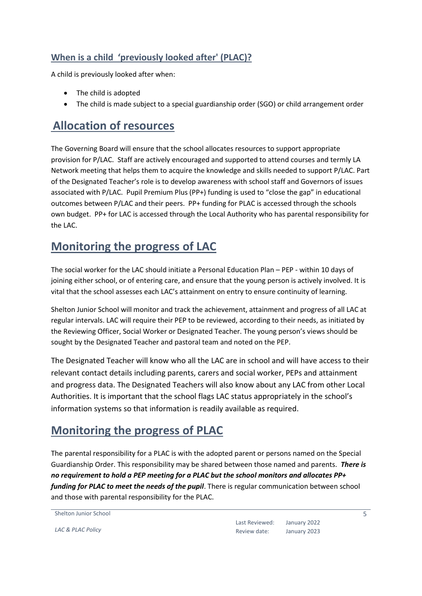#### <span id="page-4-0"></span>**When is a child 'previously looked after' (PLAC)?**

A child is previously looked after when:

- The child is adopted
- The child is made subject to a special guardianship order (SGO) or child arrangement order

#### <span id="page-4-1"></span>**Allocation of resources**

The Governing Board will ensure that the school allocates resources to support appropriate provision for P/LAC. Staff are actively encouraged and supported to attend courses and termly LA Network meeting that helps them to acquire the knowledge and skills needed to support P/LAC. Part of the Designated Teacher's role is to develop awareness with school staff and Governors of issues associated with P/LAC. Pupil Premium Plus (PP+) funding is used to "close the gap" in educational outcomes between P/LAC and their peers. PP+ funding for PLAC is accessed through the schools own budget. PP+ for LAC is accessed through the Local Authority who has parental responsibility for the LAC.

#### <span id="page-4-2"></span>**Monitoring the progress of LAC**

The social worker for the LAC should initiate a Personal Education Plan – PEP - within 10 days of joining either school, or of entering care, and ensure that the young person is actively involved. It is vital that the school assesses each LAC's attainment on entry to ensure continuity of learning.

Shelton Junior School will monitor and track the achievement, attainment and progress of all LAC at regular intervals. LAC will require their PEP to be reviewed, according to their needs, as initiated by the Reviewing Officer, Social Worker or Designated Teacher. The young person's views should be sought by the Designated Teacher and pastoral team and noted on the PEP.

The Designated Teacher will know who all the LAC are in school and will have access to their relevant contact details including parents, carers and social worker, PEPs and attainment and progress data. The Designated Teachers will also know about any LAC from other Local Authorities. It is important that the school flags LAC status appropriately in the school's information systems so that information is readily available as required.

#### <span id="page-4-3"></span>**Monitoring the progress of PLAC**

The parental responsibility for a PLAC is with the adopted parent or persons named on the Special Guardianship Order. This responsibility may be shared between those named and parents. *There is no requirement to hold a PEP meeting for a PLAC but the school monitors and allocates PP+ funding for PLAC to meet the needs of the pupil*. There is regular communication between school and those with parental responsibility for the PLAC.

```
Shelton Junior School
```
*LAC & PLAC Policy*

Last Reviewed: Review date: January 2022 January 2023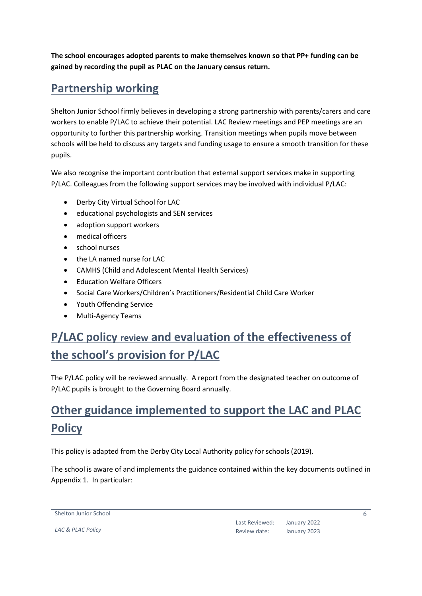**The school encourages adopted parents to make themselves known so that PP+ funding can be gained by recording the pupil as PLAC on the January census return.** 

#### <span id="page-5-0"></span>**Partnership working**

Shelton Junior School firmly believes in developing a strong partnership with parents/carers and care workers to enable P/LAC to achieve their potential. LAC Review meetings and PEP meetings are an opportunity to further this partnership working. Transition meetings when pupils move between schools will be held to discuss any targets and funding usage to ensure a smooth transition for these pupils.

We also recognise the important contribution that external support services make in supporting P/LAC. Colleagues from the following support services may be involved with individual P/LAC:

- Derby City Virtual School for LAC
- educational psychologists and SEN services
- adoption support workers
- medical officers
- school nurses
- the LA named nurse for LAC
- CAMHS (Child and Adolescent Mental Health Services)
- **•** Education Welfare Officers
- Social Care Workers/Children's Practitioners/Residential Child Care Worker
- Youth Offending Service
- Multi-Agency Teams

## <span id="page-5-1"></span>**P/LAC policy review and evaluation of the effectiveness of the school's provision for P/LAC**

The P/LAC policy will be reviewed annually. A report from the designated teacher on outcome of P/LAC pupils is brought to the Governing Board annually.

#### <span id="page-5-2"></span>**Other guidance implemented to support the LAC and PLAC Policy**

This policy is adapted from the Derby City Local Authority policy for schools (2019).

The school is aware of and implements the guidance contained within the key documents outlined in Appendix 1. In particular:

Shelton Junior School

*LAC & PLAC Policy*

Last Reviewed: January 2022 Review date: January 2023 6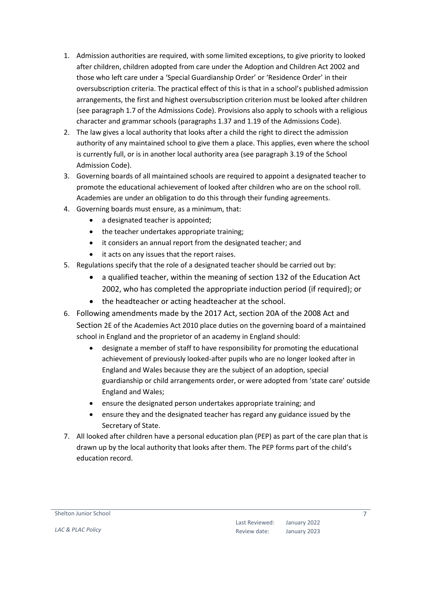- 1. Admission authorities are required, with some limited exceptions, to give priority to looked after children, children adopted from care under the Adoption and Children Act 2002 and those who left care under a 'Special Guardianship Order' or 'Residence Order' in their oversubscription criteria. The practical effect of this is that in a school's published admission arrangements, the first and highest oversubscription criterion must be looked after children (see paragraph 1.7 of the Admissions Code). Provisions also apply to schools with a religious character and grammar schools (paragraphs 1.37 and 1.19 of the Admissions Code).
- 2. The law gives a local authority that looks after a child the right to direct the admission authority of any maintained school to give them a place. This applies, even where the school is currently full, or is in another local authority area (see paragraph 3.19 of the School Admission Code).
- 3. Governing boards of all maintained schools are required to appoint a designated teacher to promote the educational achievement of looked after children who are on the school roll. Academies are under an obligation to do this through their funding agreements.
- 4. Governing boards must ensure, as a minimum, that:
	- a designated teacher is appointed;
	- the teacher undertakes appropriate training;
	- it considers an annual report from the designated teacher; and
	- it acts on any issues that the report raises.
- 5. Regulations specify that the role of a designated teacher should be carried out by:
	- a qualified teacher, within the meaning of section 132 of the Education Act 2002, who has completed the appropriate induction period (if required); or
	- the headteacher or acting headteacher at the school.
- 6. Following amendments made by the 2017 Act, section 20A of the 2008 Act and Section 2E of the Academies Act 2010 place duties on the governing board of a maintained school in England and the proprietor of an academy in England should:
	- designate a member of staff to have responsibility for promoting the educational achievement of previously looked-after pupils who are no longer looked after in England and Wales because they are the subject of an adoption, special guardianship or child arrangements order, or were adopted from 'state care' outside England and Wales;
	- ensure the designated person undertakes appropriate training; and
	- ensure they and the designated teacher has regard any guidance issued by the Secretary of State.
- 7. All looked after children have a personal education plan (PEP) as part of the care plan that is drawn up by the local authority that looks after them. The PEP forms part of the child's education record.

Shelton Junior School

Last Reviewed: January 2022 Review date: January 2023 7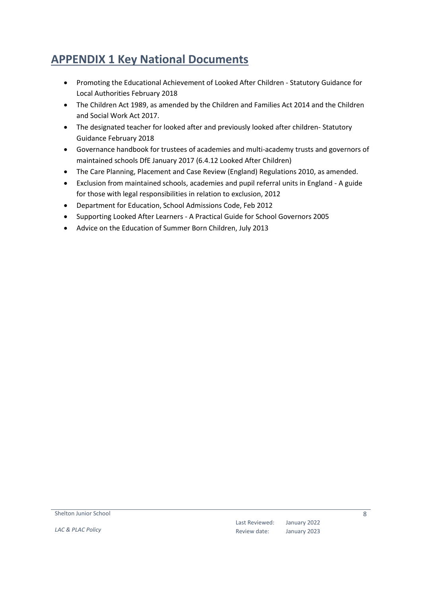#### <span id="page-7-0"></span>**APPENDIX 1 Key National Documents**

- Promoting the Educational Achievement of Looked After Children Statutory Guidance for Local Authorities February 2018
- The Children Act 1989, as amended by the Children and Families Act 2014 and the Children and Social Work Act 2017.
- The designated teacher for looked after and previously looked after children- Statutory Guidance February 2018
- Governance handbook for trustees of academies and multi-academy trusts and governors of maintained schools DfE January 2017 (6.4.12 Looked After Children)
- The Care Planning, Placement and Case Review (England) Regulations 2010, as amended.
- Exclusion from maintained schools, academies and pupil referral units in England A guide for those with legal responsibilities in relation to exclusion, 2012
- Department for Education, School Admissions Code, Feb 2012
- Supporting Looked After Learners A Practical Guide for School Governors 2005
- Advice on the Education of Summer Born Children, July 2013